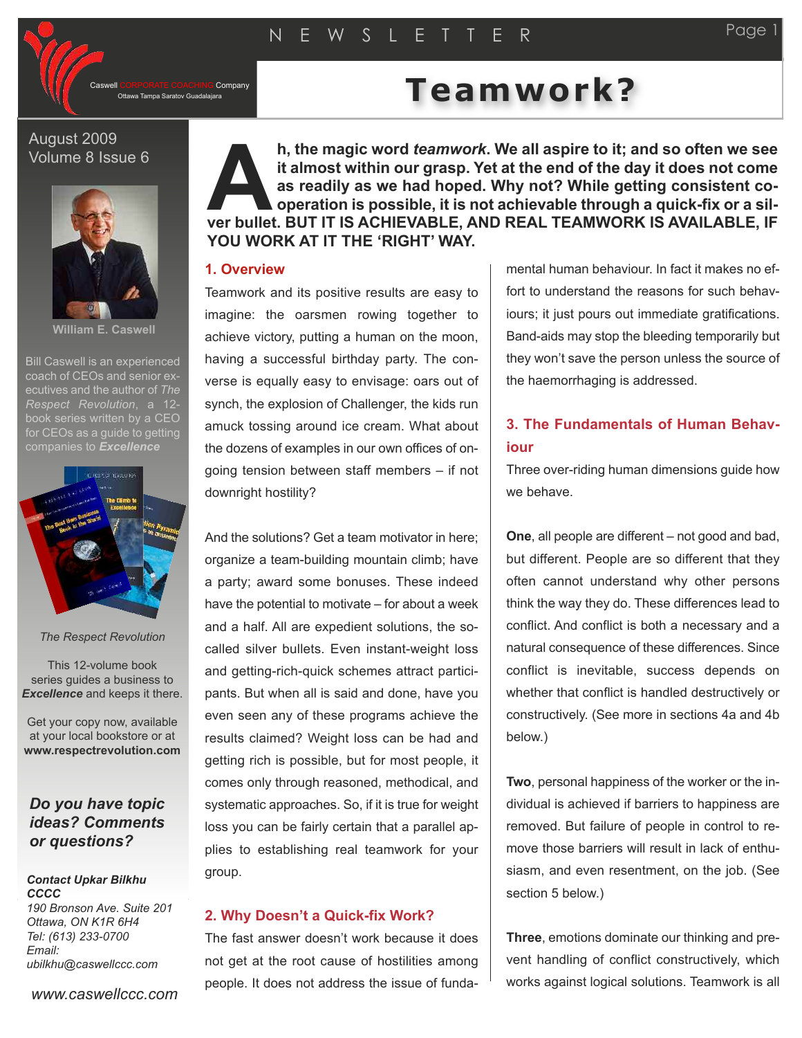CORPORATE COACHING Company<br>Ottawa Tampa Saratov Guadalajara

# Teamwork?

#### August 2009 Volume 8 Issue 6



**William E. Caswell**

Bill Caswell is an experienced coach of CEOs and senior executives and the author of *The Respect Revolution*, a 12 book series written by a CEO for CEOs as a quide to getting



*The Respect Revolution*

This 12-volume book series guides a business to *Excellence* and keeps it there.

Get your copy now, available at your local bookstore or at **www.respectrevolution.com**

# *Do you have topic ideas? Comments or questions?*

#### *Contact Upkar Bilkhu CCCC 190 Bronson Ave. Suite 201 Ottawa, ON K1R 6H4*

*Tel: (613) 233-0700 Email: ubilkhu@caswellccc.com*

*www.caswellccc.com*

**h, the magic word** *teamwork***. We all aspire to it; and so often we see it almost within our grasp. Yet at the end of the day it does not come as readily as we had hoped. Why not? While getting consistent cooperation is possible, it is not achievable through a quick-fix or a silh**, the magic word *teamwork*. We all aspire to it; and so often we see it almost within our grasp. Yet at the end of the day it does not come as readily as we had hoped. Why not? While getting consistent cooperation is p **YOU WORK AT IT THE 'RIGHT' WAY.**

#### **1. Overview**

Teamwork and its positive results are easy to imagine: the oarsmen rowing together to achieve victory, putting a human on the moon, having a successful birthday party. The converse is equally easy to envisage: oars out of synch, the explosion of Challenger, the kids run amuck tossing around ice cream. What about the dozens of examples in our own offices of ongoing tension between staff members – if not downright hostility?

And the solutions? Get a team motivator in here; organize a team-building mountain climb; have a party; award some bonuses. These indeed have the potential to motivate – for about a week and a half. All are expedient solutions, the socalled silver bullets. Even instant-weight loss and getting-rich-quick schemes attract participants. But when all is said and done, have you even seen any of these programs achieve the results claimed? Weight loss can be had and getting rich is possible, but for most people, it comes only through reasoned, methodical, and systematic approaches. So, if it is true for weight loss you can be fairly certain that a parallel applies to establishing real teamwork for your group.

#### **2. Why Doesn't a Quick-fix Work?**

The fast answer doesn't work because it does not get at the root cause of hostilities among people. It does not address the issue of fundamental human behaviour. In fact it makes no effort to understand the reasons for such behaviours; it just pours out immediate gratifications. Band-aids may stop the bleeding temporarily but they won't save the person unless the source of the haemorrhaging is addressed.

# **3. The Fundamentals of Human Behaviour**

Three over-riding human dimensions guide how we behave.

**One**, all people are different – not good and bad, but different. People are so different that they often cannot understand why other persons think the way they do. These differences lead to conflict. And conflict is both a necessary and a natural consequence of these differences. Since conflict is inevitable, success depends on whether that conflict is handled destructively or constructively. (See more in sections 4a and 4b below.)

**Two**, personal happiness of the worker or the individual is achieved if barriers to happiness are removed. But failure of people in control to remove those barriers will result in lack of enthusiasm, and even resentment, on the job. (See section 5 below.)

**Three**, emotions dominate our thinking and prevent handling of conflict constructively, which works against logical solutions. Teamwork is all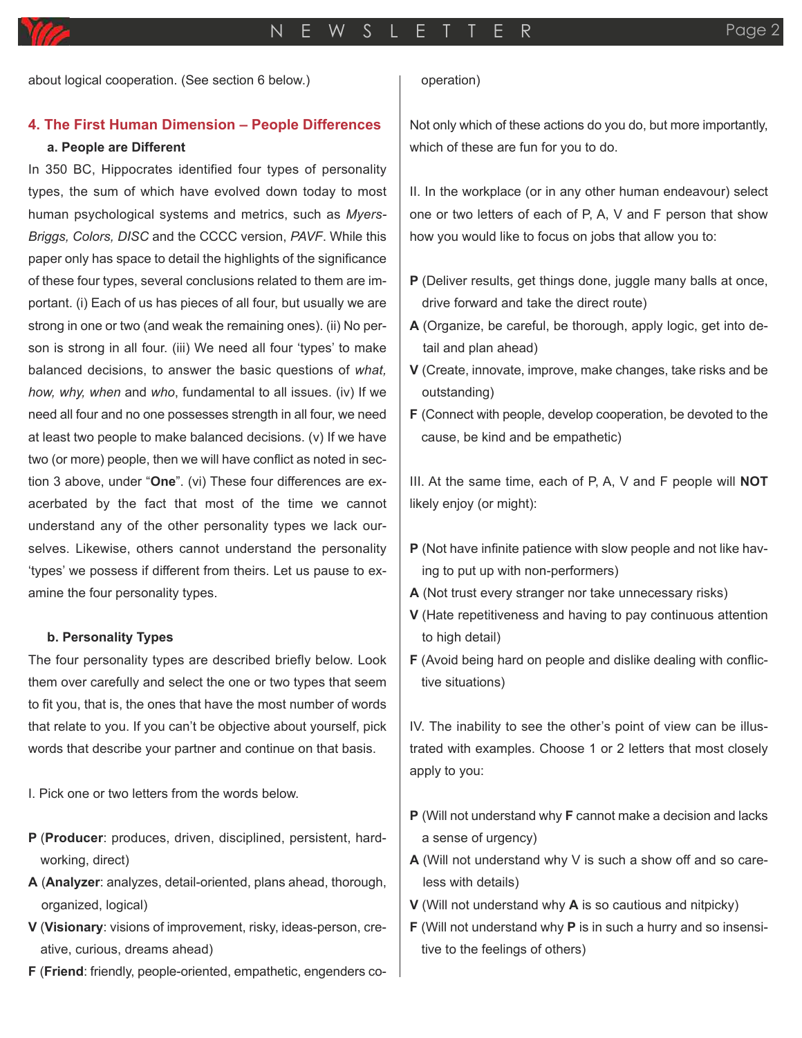about logical cooperation. (See section 6 below.)

# **4. The First Human Dimension – People Differences**

#### **a. People are Different**

In 350 BC, Hippocrates identified four types of personality types, the sum of which have evolved down today to most human psychological systems and metrics, such as *Myers-Briggs, Colors, DISC* and the CCCC version, *PAVF*. While this paper only has space to detail the highlights of the significance of these four types, several conclusions related to them are important. (i) Each of us has pieces of all four, but usually we are strong in one or two (and weak the remaining ones). (ii) No person is strong in all four. (iii) We need all four 'types' to make balanced decisions, to answer the basic questions of *what, how, why, when* and *who*, fundamental to all issues. (iv) If we need all four and no one possesses strength in all four, we need at least two people to make balanced decisions. (v) If we have two (or more) people, then we will have conflict as noted in section 3 above, under "**One**". (vi) These four differences are exacerbated by the fact that most of the time we cannot understand any of the other personality types we lack ourselves. Likewise, others cannot understand the personality 'types' we possess if different from theirs. Let us pause to examine the four personality types.

#### **b. Personality Types**

The four personality types are described briefly below. Look them over carefully and select the one or two types that seem to fit you, that is, the ones that have the most number of words that relate to you. If you can't be objective about yourself, pick words that describe your partner and continue on that basis.

I. Pick one or two letters from the words below.

- **P** (**Producer**: produces, driven, disciplined, persistent, hardworking, direct)
- **A** (**Analyzer**: analyzes, detail-oriented, plans ahead, thorough, organized, logical)
- **V** (**Visionary**: visions of improvement, risky, ideas-person, creative, curious, dreams ahead)
- **F** (**Friend**: friendly, people-oriented, empathetic, engenders co-

#### operation)

Not only which of these actions do you do, but more importantly, which of these are fun for you to do.

II. In the workplace (or in any other human endeavour) select one or two letters of each of P, A, V and F person that show how you would like to focus on jobs that allow you to:

- **P** (Deliver results, get things done, juggle many balls at once, drive forward and take the direct route)
- **A** (Organize, be careful, be thorough, apply logic, get into detail and plan ahead)
- **V** (Create, innovate, improve, make changes, take risks and be outstanding)
- **F** (Connect with people, develop cooperation, be devoted to the cause, be kind and be empathetic)

III. At the same time, each of P, A, V and F people will **NOT** likely enjoy (or might):

- **P** (Not have infinite patience with slow people and not like having to put up with non-performers)
- **A** (Not trust every stranger nor take unnecessary risks)
- **V** (Hate repetitiveness and having to pay continuous attention to high detail)
- **F** (Avoid being hard on people and dislike dealing with conflictive situations)

IV. The inability to see the other's point of view can be illustrated with examples. Choose 1 or 2 letters that most closely apply to you:

- **P** (Will not understand why **F** cannot make a decision and lacks a sense of urgency)
- **A** (Will not understand why V is such a show off and so careless with details)
- **V** (Will not understand why **A** is so cautious and nitpicky)
- **F** (Will not understand why **P** is in such a hurry and so insensitive to the feelings of others)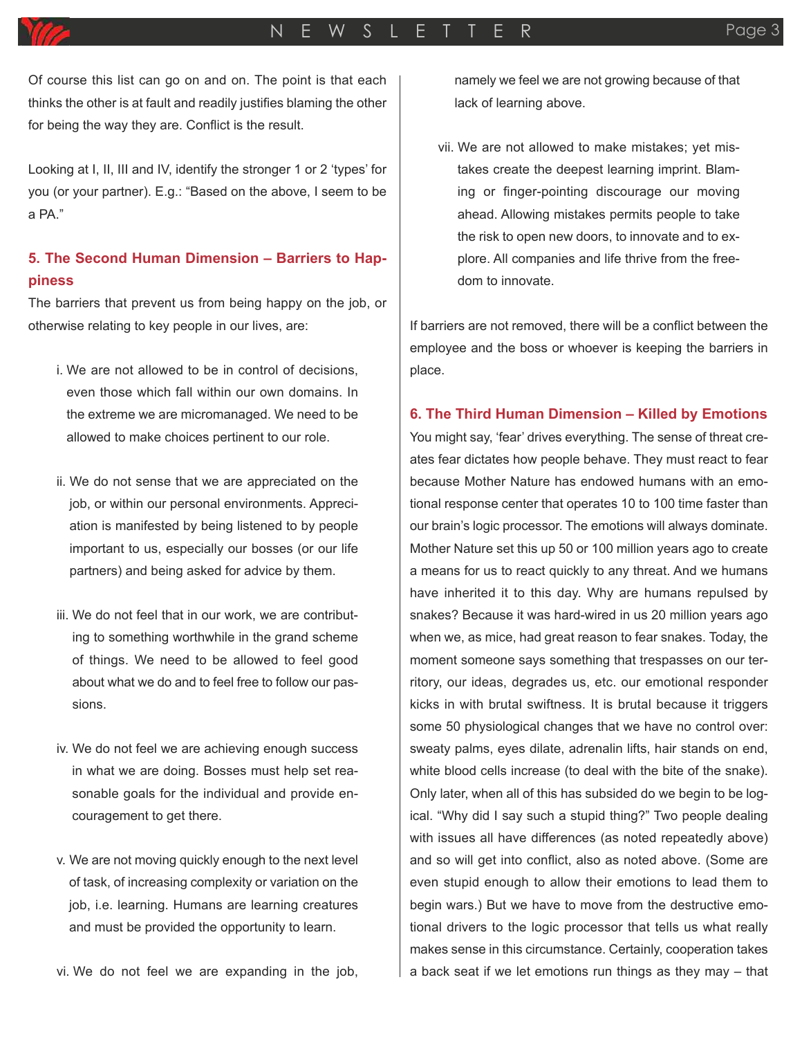Of course this list can go on and on. The point is that each thinks the other is at fault and readily justifies blaming the other for being the way they are. Conflict is the result.

Looking at I, II, III and IV, identify the stronger 1 or 2 'types' for you (or your partner). E.g.: "Based on the above, I seem to be a PA."

# **5. The Second Human Dimension – Barriers to Happiness**

The barriers that prevent us from being happy on the job, or otherwise relating to key people in our lives, are:

- i. We are not allowed to be in control of decisions, even those which fall within our own domains. In the extreme we are micromanaged. We need to be allowed to make choices pertinent to our role.
- ii. We do not sense that we are appreciated on the job, or within our personal environments. Appreciation is manifested by being listened to by people important to us, especially our bosses (or our life partners) and being asked for advice by them.
- iii. We do not feel that in our work, we are contributing to something worthwhile in the grand scheme of things. We need to be allowed to feel good about what we do and to feel free to follow our passions.
- iv. We do not feel we are achieving enough success in what we are doing. Bosses must help set reasonable goals for the individual and provide encouragement to get there.
- v. We are not moving quickly enough to the next level of task, of increasing complexity or variation on the job, i.e. learning. Humans are learning creatures and must be provided the opportunity to learn.

vi. We do not feel we are expanding in the job,

namely we feel we are not growing because of that lack of learning above.

vii. We are not allowed to make mistakes; yet mistakes create the deepest learning imprint. Blaming or finger-pointing discourage our moving ahead. Allowing mistakes permits people to take the risk to open new doors, to innovate and to explore. All companies and life thrive from the freedom to innovate.

If barriers are not removed, there will be a conflict between the employee and the boss or whoever is keeping the barriers in place.

## **6. The Third Human Dimension – Killed by Emotions**

You might say, 'fear' drives everything. The sense of threat creates fear dictates how people behave. They must react to fear because Mother Nature has endowed humans with an emotional response center that operates 10 to 100 time faster than our brain's logic processor. The emotions will always dominate. Mother Nature set this up 50 or 100 million years ago to create a means for us to react quickly to any threat. And we humans have inherited it to this day. Why are humans repulsed by snakes? Because it was hard-wired in us 20 million years ago when we, as mice, had great reason to fear snakes. Today, the moment someone says something that trespasses on our territory, our ideas, degrades us, etc. our emotional responder kicks in with brutal swiftness. It is brutal because it triggers some 50 physiological changes that we have no control over: sweaty palms, eyes dilate, adrenalin lifts, hair stands on end, white blood cells increase (to deal with the bite of the snake). Only later, when all of this has subsided do we begin to be logical. "Why did I say such a stupid thing?" Two people dealing with issues all have differences (as noted repeatedly above) and so will get into conflict, also as noted above. (Some are even stupid enough to allow their emotions to lead them to begin wars.) But we have to move from the destructive emotional drivers to the logic processor that tells us what really makes sense in this circumstance. Certainly, cooperation takes a back seat if we let emotions run things as they may – that